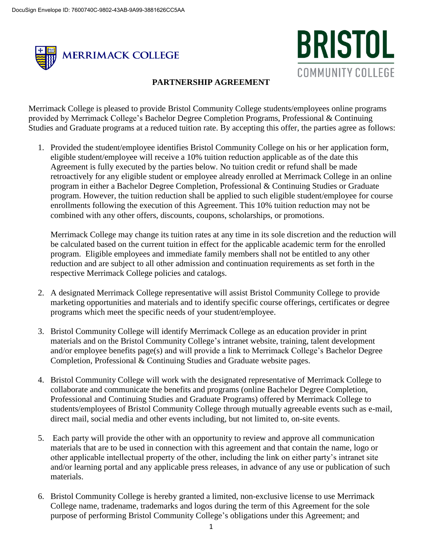



## **PARTNERSHIP AGREEMENT**

Merrimack College is pleased to provide Bristol Community College students/employees online programs provided by Merrimack College's Bachelor Degree Completion Programs, Professional & Continuing Studies and Graduate programs at a reduced tuition rate. By accepting this offer, the parties agree as follows:

1. Provided the student/employee identifies Bristol Community College on his or her application form, eligible student/employee will receive a 10% tuition reduction applicable as of the date this Agreement is fully executed by the parties below. No tuition credit or refund shall be made retroactively for any eligible student or employee already enrolled at Merrimack College in an online program in either a Bachelor Degree Completion, Professional & Continuing Studies or Graduate program. However, the tuition reduction shall be applied to such eligible student/employee for course enrollments following the execution of this Agreement. This 10% tuition reduction may not be combined with any other offers, discounts, coupons, scholarships, or promotions.

Merrimack College may change its tuition rates at any time in its sole discretion and the reduction will be calculated based on the current tuition in effect for the applicable academic term for the enrolled program. Eligible employees and immediate family members shall not be entitled to any other reduction and are subject to all other admission and continuation requirements as set forth in the respective Merrimack College policies and catalogs.

- 2. A designated Merrimack College representative will assist Bristol Community College to provide marketing opportunities and materials and to identify specific course offerings, certificates or degree programs which meet the specific needs of your student/employee.
- 3. Bristol Community College will identify Merrimack College as an education provider in print materials and on the Bristol Community College's intranet website, training, talent development and/or employee benefits page(s) and will provide a link to Merrimack College's Bachelor Degree Completion, Professional & Continuing Studies and Graduate website pages.
- 4. Bristol Community College will work with the designated representative of Merrimack College to collaborate and communicate the benefits and programs (online Bachelor Degree Completion, Professional and Continuing Studies and Graduate Programs) offered by Merrimack College to students/employees of Bristol Community College through mutually agreeable events such as e-mail, direct mail, social media and other events including, but not limited to, on-site events.
- 5. Each party will provide the other with an opportunity to review and approve all communication materials that are to be used in connection with this agreement and that contain the name, logo or other applicable intellectual property of the other, including the link on either party's intranet site and/or learning portal and any applicable press releases, in advance of any use or publication of such materials.
- 6. Bristol Community College is hereby granted a limited, non-exclusive license to use Merrimack College name, tradename, trademarks and logos during the term of this Agreement for the sole purpose of performing Bristol Community College's obligations under this Agreement; and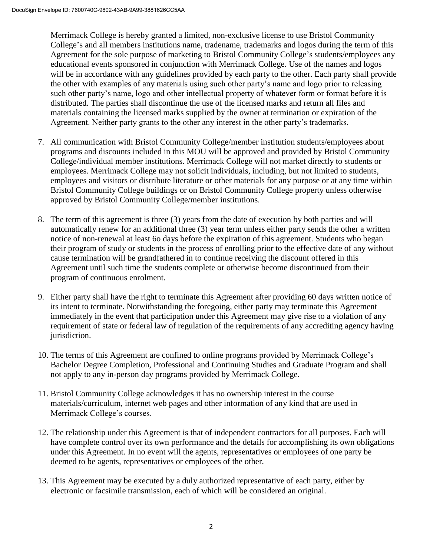Merrimack College is hereby granted a limited, non-exclusive license to use Bristol Community College's and all members institutions name, tradename, trademarks and logos during the term of this Agreement for the sole purpose of marketing to Bristol Community College's students/employees any educational events sponsored in conjunction with Merrimack College. Use of the names and logos will be in accordance with any guidelines provided by each party to the other. Each party shall provide the other with examples of any materials using such other party's name and logo prior to releasing such other party's name, logo and other intellectual property of whatever form or format before it is distributed. The parties shall discontinue the use of the licensed marks and return all files and materials containing the licensed marks supplied by the owner at termination or expiration of the Agreement. Neither party grants to the other any interest in the other party's trademarks.

- 7. All communication with Bristol Community College/member institution students/employees about programs and discounts included in this MOU will be approved and provided by Bristol Community College/individual member institutions. Merrimack College will not market directly to students or employees. Merrimack College may not solicit individuals, including, but not limited to students, employees and visitors or distribute literature or other materials for any purpose or at any time within Bristol Community College buildings or on Bristol Community College property unless otherwise approved by Bristol Community College/member institutions.
- 8. The term of this agreement is three (3) years from the date of execution by both parties and will automatically renew for an additional three (3) year term unless either party sends the other a written notice of non-renewal at least 6o days before the expiration of this agreement. Students who began their program of study or students in the process of enrolling prior to the effective date of any without cause termination will be grandfathered in to continue receiving the discount offered in this Agreement until such time the students complete or otherwise become discontinued from their program of continuous enrolment.
- 9. Either party shall have the right to terminate this Agreement after providing 60 days written notice of its intent to terminate. Notwithstanding the foregoing, either party may terminate this Agreement immediately in the event that participation under this Agreement may give rise to a violation of any requirement of state or federal law of regulation of the requirements of any accrediting agency having jurisdiction.
- 10. The terms of this Agreement are confined to online programs provided by Merrimack College's Bachelor Degree Completion, Professional and Continuing Studies and Graduate Program and shall not apply to any in-person day programs provided by Merrimack College.
- 11. Bristol Community College acknowledges it has no ownership interest in the course materials/curriculum, internet web pages and other information of any kind that are used in Merrimack College's courses.
- 12. The relationship under this Agreement is that of independent contractors for all purposes. Each will have complete control over its own performance and the details for accomplishing its own obligations under this Agreement. In no event will the agents, representatives or employees of one party be deemed to be agents, representatives or employees of the other.
- 13. This Agreement may be executed by a duly authorized representative of each party, either by electronic or facsimile transmission, each of which will be considered an original.